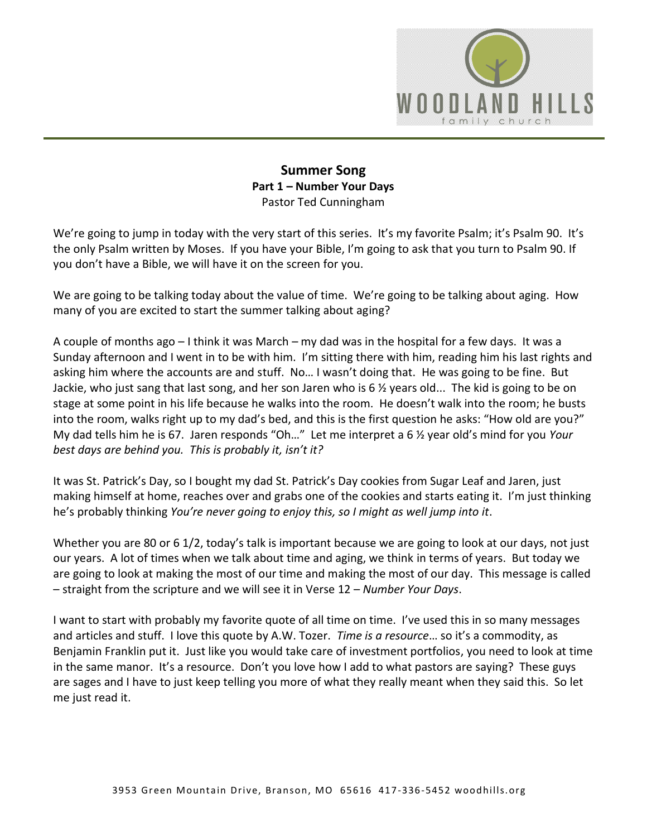

## **Summer Song Part 1 – Number Your Days**  Pastor Ted Cunningham

We're going to jump in today with the very start of this series. It's my favorite Psalm; it's Psalm 90. It's the only Psalm written by Moses. If you have your Bible, I'm going to ask that you turn to Psalm 90. If you don't have a Bible, we will have it on the screen for you.

We are going to be talking today about the value of time. We're going to be talking about aging. How many of you are excited to start the summer talking about aging?

A couple of months ago – I think it was March – my dad was in the hospital for a few days. It was a Sunday afternoon and I went in to be with him. I'm sitting there with him, reading him his last rights and asking him where the accounts are and stuff. No… I wasn't doing that. He was going to be fine. But Jackie, who just sang that last song, and her son Jaren who is 6 ½ years old... The kid is going to be on stage at some point in his life because he walks into the room. He doesn't walk into the room; he busts into the room, walks right up to my dad's bed, and this is the first question he asks: "How old are you?" My dad tells him he is 67. Jaren responds "Oh…" Let me interpret a 6 ½ year old's mind for you *Your best days are behind you. This is probably it, isn't it?* 

It was St. Patrick's Day, so I bought my dad St. Patrick's Day cookies from Sugar Leaf and Jaren, just making himself at home, reaches over and grabs one of the cookies and starts eating it. I'm just thinking he's probably thinking *You're never going to enjoy this, so I might as well jump into it*.

Whether you are 80 or 6 1/2, today's talk is important because we are going to look at our days, not just our years. A lot of times when we talk about time and aging, we think in terms of years. But today we are going to look at making the most of our time and making the most of our day. This message is called – straight from the scripture and we will see it in Verse 12 – *Number Your Days*.

I want to start with probably my favorite quote of all time on time. I've used this in so many messages and articles and stuff. I love this quote by A.W. Tozer. *Time is a resource*… so it's a commodity, as Benjamin Franklin put it. Just like you would take care of investment portfolios, you need to look at time in the same manor. It's a resource. Don't you love how I add to what pastors are saying? These guys are sages and I have to just keep telling you more of what they really meant when they said this. So let me just read it.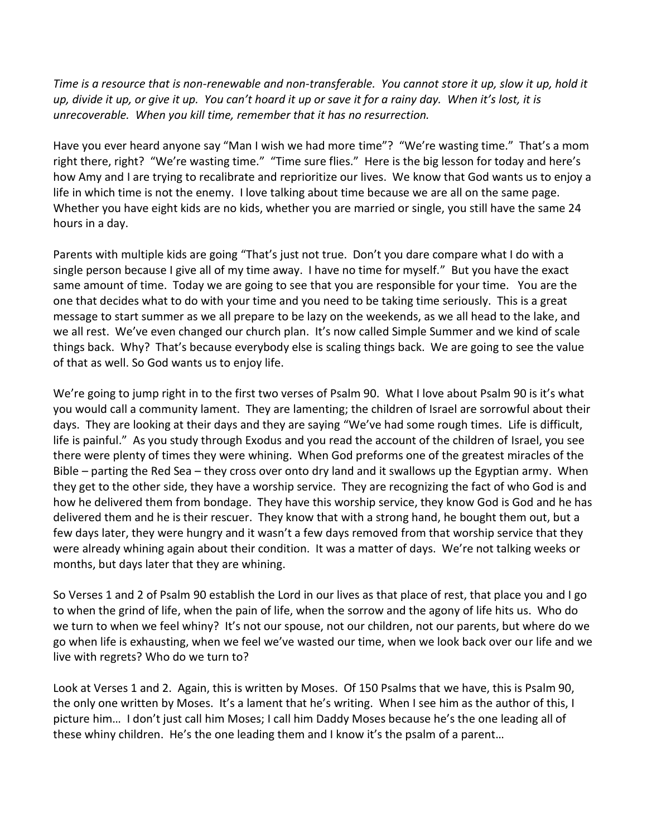*Time is a resource that is non-renewable and non-transferable. You cannot store it up, slow it up, hold it up, divide it up, or give it up. You can't hoard it up or save it for a rainy day. When it's lost, it is unrecoverable. When you kill time, remember that it has no resurrection.* 

Have you ever heard anyone say "Man I wish we had more time"? "We're wasting time." That's a mom right there, right? "We're wasting time." "Time sure flies." Here is the big lesson for today and here's how Amy and I are trying to recalibrate and reprioritize our lives. We know that God wants us to enjoy a life in which time is not the enemy. I love talking about time because we are all on the same page. Whether you have eight kids are no kids, whether you are married or single, you still have the same 24 hours in a day.

Parents with multiple kids are going "That's just not true. Don't you dare compare what I do with a single person because I give all of my time away. I have no time for myself." But you have the exact same amount of time. Today we are going to see that you are responsible for your time. You are the one that decides what to do with your time and you need to be taking time seriously. This is a great message to start summer as we all prepare to be lazy on the weekends, as we all head to the lake, and we all rest. We've even changed our church plan. It's now called Simple Summer and we kind of scale things back. Why? That's because everybody else is scaling things back. We are going to see the value of that as well. So God wants us to enjoy life.

We're going to jump right in to the first two verses of Psalm 90. What I love about Psalm 90 is it's what you would call a community lament. They are lamenting; the children of Israel are sorrowful about their days. They are looking at their days and they are saying "We've had some rough times. Life is difficult, life is painful." As you study through Exodus and you read the account of the children of Israel, you see there were plenty of times they were whining. When God preforms one of the greatest miracles of the Bible – parting the Red Sea – they cross over onto dry land and it swallows up the Egyptian army. When they get to the other side, they have a worship service. They are recognizing the fact of who God is and how he delivered them from bondage. They have this worship service, they know God is God and he has delivered them and he is their rescuer. They know that with a strong hand, he bought them out, but a few days later, they were hungry and it wasn't a few days removed from that worship service that they were already whining again about their condition. It was a matter of days. We're not talking weeks or months, but days later that they are whining.

So Verses 1 and 2 of Psalm 90 establish the Lord in our lives as that place of rest, that place you and I go to when the grind of life, when the pain of life, when the sorrow and the agony of life hits us. Who do we turn to when we feel whiny? It's not our spouse, not our children, not our parents, but where do we go when life is exhausting, when we feel we've wasted our time, when we look back over our life and we live with regrets? Who do we turn to?

Look at Verses 1 and 2. Again, this is written by Moses. Of 150 Psalms that we have, this is Psalm 90, the only one written by Moses. It's a lament that he's writing. When I see him as the author of this, I picture him… I don't just call him Moses; I call him Daddy Moses because he's the one leading all of these whiny children. He's the one leading them and I know it's the psalm of a parent…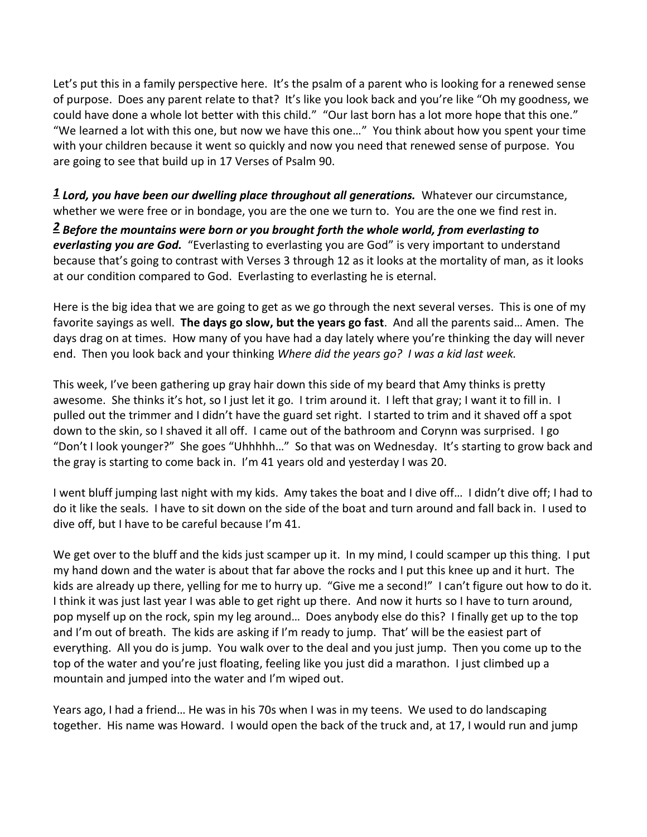Let's put this in a family perspective here. It's the psalm of a parent who is looking for a renewed sense of purpose. Does any parent relate to that? It's like you look back and you're like "Oh my goodness, we could have done a whole lot better with this child." "Our last born has a lot more hope that this one." "We learned a lot with this one, but now we have this one…" You think about how you spent your time with your children because it went so quickly and now you need that renewed sense of purpose. You are going to see that build up in 17 Verses of Psalm 90.

*[1](http://www.studylight.org/desk/?q=ps%2090:1&t1=en_niv&sr=1) Lord, you have been our dwelling place throughout all generations.* Whatever our circumstance, whether we were free or in bondage, you are the one we turn to. You are the one we find rest in.

*[2](http://www.studylight.org/desk/?q=ps%2090:2&t1=en_niv&sr=1) Before the mountains were born or you brought forth the whole world, from everlasting to everlasting you are God.* "Everlasting to everlasting you are God" is very important to understand because that's going to contrast with Verses 3 through 12 as it looks at the mortality of man, as it looks at our condition compared to God. Everlasting to everlasting he is eternal.

Here is the big idea that we are going to get as we go through the next several verses. This is one of my favorite sayings as well. **The days go slow, but the years go fast**. And all the parents said… Amen. The days drag on at times. How many of you have had a day lately where you're thinking the day will never end. Then you look back and your thinking *Where did the years go? I was a kid last week.*

This week, I've been gathering up gray hair down this side of my beard that Amy thinks is pretty awesome. She thinks it's hot, so I just let it go. I trim around it. I left that gray; I want it to fill in. I pulled out the trimmer and I didn't have the guard set right. I started to trim and it shaved off a spot down to the skin, so I shaved it all off. I came out of the bathroom and Corynn was surprised. I go "Don't I look younger?" She goes "Uhhhhh…" So that was on Wednesday. It's starting to grow back and the gray is starting to come back in. I'm 41 years old and yesterday I was 20.

I went bluff jumping last night with my kids. Amy takes the boat and I dive off… I didn't dive off; I had to do it like the seals. I have to sit down on the side of the boat and turn around and fall back in. I used to dive off, but I have to be careful because I'm 41.

We get over to the bluff and the kids just scamper up it. In my mind, I could scamper up this thing. I put my hand down and the water is about that far above the rocks and I put this knee up and it hurt. The kids are already up there, yelling for me to hurry up. "Give me a second!" I can't figure out how to do it. I think it was just last year I was able to get right up there. And now it hurts so I have to turn around, pop myself up on the rock, spin my leg around… Does anybody else do this? I finally get up to the top and I'm out of breath. The kids are asking if I'm ready to jump. That' will be the easiest part of everything. All you do is jump. You walk over to the deal and you just jump. Then you come up to the top of the water and you're just floating, feeling like you just did a marathon. I just climbed up a mountain and jumped into the water and I'm wiped out.

Years ago, I had a friend… He was in his 70s when I was in my teens. We used to do landscaping together. His name was Howard. I would open the back of the truck and, at 17, I would run and jump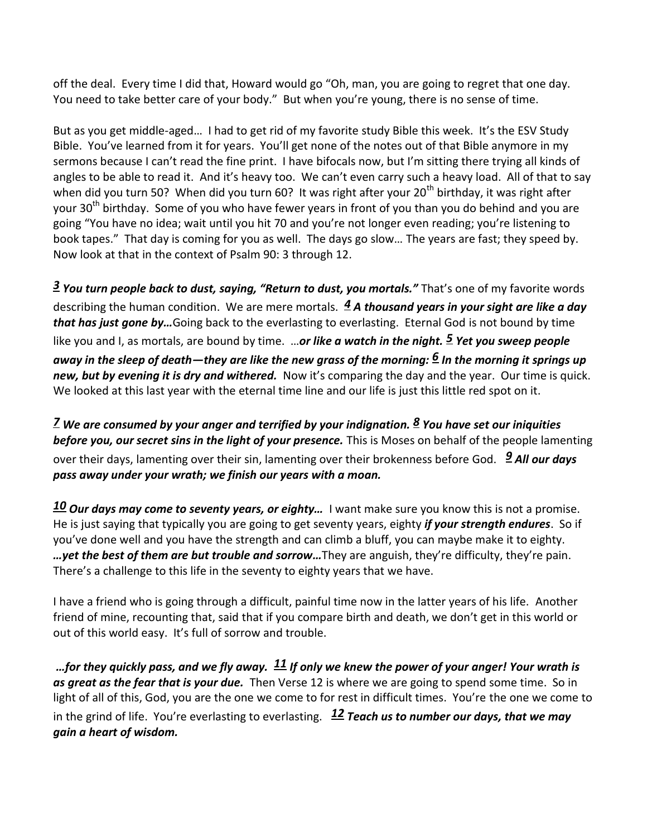off the deal. Every time I did that, Howard would go "Oh, man, you are going to regret that one day. You need to take better care of your body." But when you're young, there is no sense of time.

But as you get middle-aged… I had to get rid of my favorite study Bible this week. It's the ESV Study Bible. You've learned from it for years. You'll get none of the notes out of that Bible anymore in my sermons because I can't read the fine print. I have bifocals now, but I'm sitting there trying all kinds of angles to be able to read it. And it's heavy too. We can't even carry such a heavy load. All of that to say when did you turn 50? When did you turn 60? It was right after your 20<sup>th</sup> birthday, it was right after your 30<sup>th</sup> birthday. Some of you who have fewer years in front of you than you do behind and you are going "You have no idea; wait until you hit 70 and you're not longer even reading; you're listening to book tapes." That day is coming for you as well. The days go slow… The years are fast; they speed by. Now look at that in the context of Psalm 90: 3 through 12.

*[3](http://www.studylight.org/desk/?q=ps%2090:3&t1=en_niv&sr=1) You turn people back to dust, saying, "Return to dust, you mortals."* That's one of my favorite words describing the human condition. We are mere mortals. *[4](http://www.studylight.org/desk/?q=ps%2090:4&t1=en_niv&sr=1) A thousand years in your sight are like a day that has just gone by…*Going back to the everlasting to everlasting. Eternal God is not bound by time like you and I, as mortals, are bound by time. …*or like a watch in the night. [5](http://www.studylight.org/desk/?q=ps%2090:5&t1=en_niv&sr=1) Yet you sweep people away in the sleep of death—they are like the new grass of the morning: [6](http://www.studylight.org/desk/?q=ps%2090:6&t1=en_niv&sr=1) In the morning it springs up new, but by evening it is dry and withered.* Now it's comparing the day and the year. Our time is quick. We looked at this last year with the eternal time line and our life is just this little red spot on it.

*[7](http://www.studylight.org/desk/?q=ps%2090:7&t1=en_niv&sr=1) We are consumed by your anger and terrified by your indignation. [8](http://www.studylight.org/desk/?q=ps%2090:8&t1=en_niv&sr=1) You have set our iniquities*  **before you, our secret sins in the light of your presence.** This is Moses on behalf of the people lamenting over their days, lamenting over their sin, lamenting over their brokenness before God. *[9](http://www.studylight.org/desk/?q=ps%2090:9&t1=en_niv&sr=1) All our days pass away under your wrath; we finish our years with a moan.* 

*[10](http://www.studylight.org/desk/?q=ps%2090:10&t1=en_niv&sr=1) Our days may come to seventy years, or eighty…* I want make sure you know this is not a promise. He is just saying that typically you are going to get seventy years, eighty *if your strength endures*. So if you've done well and you have the strength and can climb a bluff, you can maybe make it to eighty. *…yet the best of them are but trouble and sorrow…*They are anguish, they're difficulty, they're pain. There's a challenge to this life in the seventy to eighty years that we have.

I have a friend who is going through a difficult, painful time now in the latter years of his life. Another friend of mine, recounting that, said that if you compare birth and death, we don't get in this world or out of this world easy. It's full of sorrow and trouble.

*…for they quickly pass, and we fly away. [11](http://www.studylight.org/desk/?q=ps%2090:11&t1=en_niv&sr=1) If only we knew the power of your anger! Your wrath is as great as the fear that is your due.* Then Verse 12 is where we are going to spend some time. So in light of all of this, God, you are the one we come to for rest in difficult times. You're the one we come to in the grind of life. You're everlasting to everlasting. *[12](http://www.studylight.org/desk/?q=ps%2090:12&t1=en_niv&sr=1) Teach us to number our days, that we may gain a heart of wisdom.*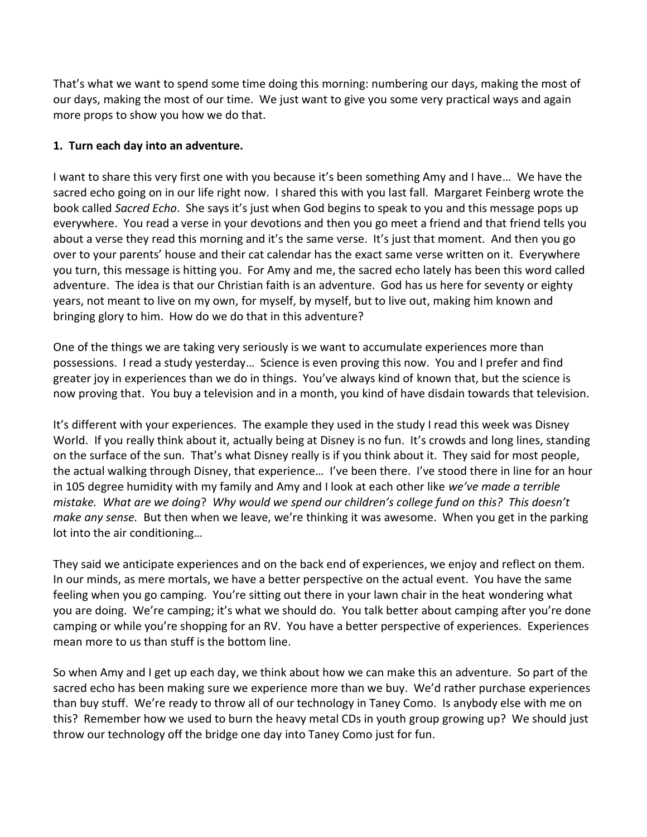That's what we want to spend some time doing this morning: numbering our days, making the most of our days, making the most of our time. We just want to give you some very practical ways and again more props to show you how we do that.

#### **1. Turn each day into an adventure.**

I want to share this very first one with you because it's been something Amy and I have… We have the sacred echo going on in our life right now. I shared this with you last fall. Margaret Feinberg wrote the book called *Sacred Echo*. She says it's just when God begins to speak to you and this message pops up everywhere. You read a verse in your devotions and then you go meet a friend and that friend tells you about a verse they read this morning and it's the same verse. It's just that moment. And then you go over to your parents' house and their cat calendar has the exact same verse written on it. Everywhere you turn, this message is hitting you. For Amy and me, the sacred echo lately has been this word called adventure. The idea is that our Christian faith is an adventure. God has us here for seventy or eighty years, not meant to live on my own, for myself, by myself, but to live out, making him known and bringing glory to him. How do we do that in this adventure?

One of the things we are taking very seriously is we want to accumulate experiences more than possessions. I read a study yesterday… Science is even proving this now. You and I prefer and find greater joy in experiences than we do in things. You've always kind of known that, but the science is now proving that. You buy a television and in a month, you kind of have disdain towards that television.

It's different with your experiences. The example they used in the study I read this week was Disney World. If you really think about it, actually being at Disney is no fun. It's crowds and long lines, standing on the surface of the sun. That's what Disney really is if you think about it. They said for most people, the actual walking through Disney, that experience… I've been there. I've stood there in line for an hour in 105 degree humidity with my family and Amy and I look at each other like *we've made a terrible mistake. What are we doing*? *Why would we spend our children's college fund on this? This doesn't make any sense.* But then when we leave, we're thinking it was awesome. When you get in the parking lot into the air conditioning…

They said we anticipate experiences and on the back end of experiences, we enjoy and reflect on them. In our minds, as mere mortals, we have a better perspective on the actual event. You have the same feeling when you go camping. You're sitting out there in your lawn chair in the heat wondering what you are doing. We're camping; it's what we should do. You talk better about camping after you're done camping or while you're shopping for an RV. You have a better perspective of experiences. Experiences mean more to us than stuff is the bottom line.

So when Amy and I get up each day, we think about how we can make this an adventure. So part of the sacred echo has been making sure we experience more than we buy. We'd rather purchase experiences than buy stuff. We're ready to throw all of our technology in Taney Como. Is anybody else with me on this? Remember how we used to burn the heavy metal CDs in youth group growing up? We should just throw our technology off the bridge one day into Taney Como just for fun.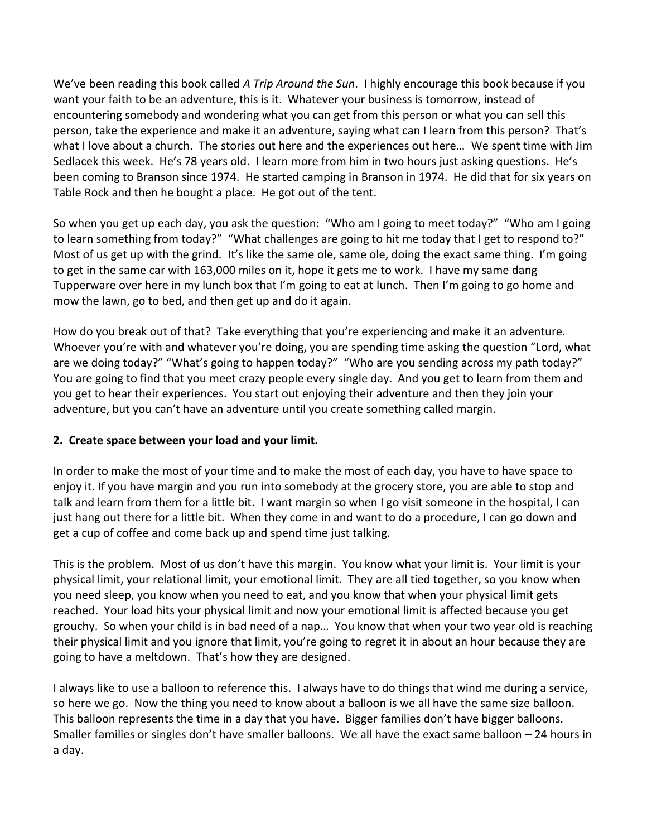We've been reading this book called *A Trip Around the Sun*. I highly encourage this book because if you want your faith to be an adventure, this is it. Whatever your business is tomorrow, instead of encountering somebody and wondering what you can get from this person or what you can sell this person, take the experience and make it an adventure, saying what can I learn from this person? That's what I love about a church. The stories out here and the experiences out here… We spent time with Jim Sedlacek this week. He's 78 years old. I learn more from him in two hours just asking questions. He's been coming to Branson since 1974. He started camping in Branson in 1974. He did that for six years on Table Rock and then he bought a place. He got out of the tent.

So when you get up each day, you ask the question: "Who am I going to meet today?" "Who am I going to learn something from today?" "What challenges are going to hit me today that I get to respond to?" Most of us get up with the grind. It's like the same ole, same ole, doing the exact same thing. I'm going to get in the same car with 163,000 miles on it, hope it gets me to work. I have my same dang Tupperware over here in my lunch box that I'm going to eat at lunch. Then I'm going to go home and mow the lawn, go to bed, and then get up and do it again.

How do you break out of that? Take everything that you're experiencing and make it an adventure. Whoever you're with and whatever you're doing, you are spending time asking the question "Lord, what are we doing today?" "What's going to happen today?" "Who are you sending across my path today?" You are going to find that you meet crazy people every single day. And you get to learn from them and you get to hear their experiences. You start out enjoying their adventure and then they join your adventure, but you can't have an adventure until you create something called margin.

#### **2. Create space between your load and your limit.**

In order to make the most of your time and to make the most of each day, you have to have space to enjoy it. If you have margin and you run into somebody at the grocery store, you are able to stop and talk and learn from them for a little bit. I want margin so when I go visit someone in the hospital, I can just hang out there for a little bit. When they come in and want to do a procedure, I can go down and get a cup of coffee and come back up and spend time just talking.

This is the problem. Most of us don't have this margin. You know what your limit is. Your limit is your physical limit, your relational limit, your emotional limit. They are all tied together, so you know when you need sleep, you know when you need to eat, and you know that when your physical limit gets reached. Your load hits your physical limit and now your emotional limit is affected because you get grouchy. So when your child is in bad need of a nap… You know that when your two year old is reaching their physical limit and you ignore that limit, you're going to regret it in about an hour because they are going to have a meltdown. That's how they are designed.

I always like to use a balloon to reference this. I always have to do things that wind me during a service, so here we go. Now the thing you need to know about a balloon is we all have the same size balloon. This balloon represents the time in a day that you have. Bigger families don't have bigger balloons. Smaller families or singles don't have smaller balloons. We all have the exact same balloon – 24 hours in a day.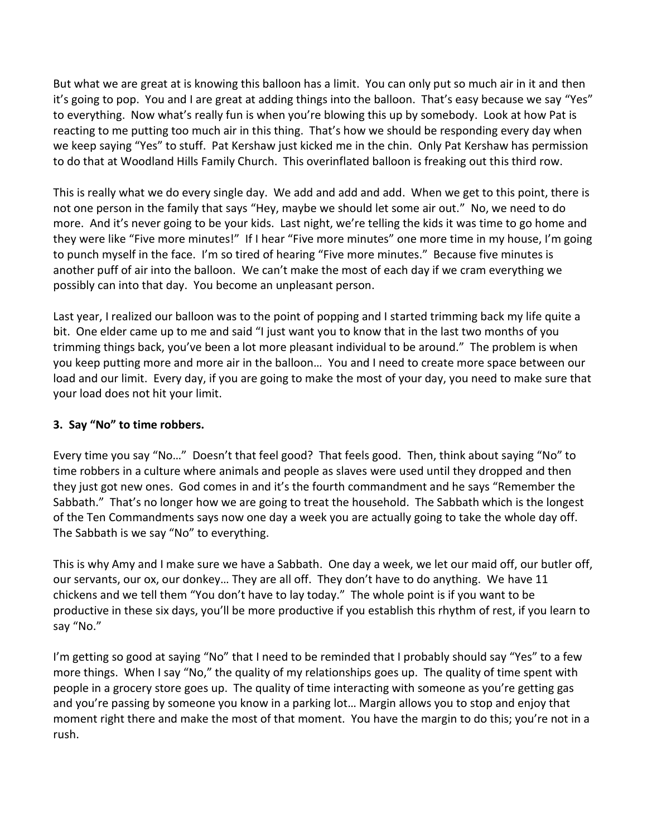But what we are great at is knowing this balloon has a limit. You can only put so much air in it and then it's going to pop. You and I are great at adding things into the balloon. That's easy because we say "Yes" to everything. Now what's really fun is when you're blowing this up by somebody. Look at how Pat is reacting to me putting too much air in this thing. That's how we should be responding every day when we keep saying "Yes" to stuff. Pat Kershaw just kicked me in the chin. Only Pat Kershaw has permission to do that at Woodland Hills Family Church. This overinflated balloon is freaking out this third row.

This is really what we do every single day. We add and add and add. When we get to this point, there is not one person in the family that says "Hey, maybe we should let some air out." No, we need to do more. And it's never going to be your kids. Last night, we're telling the kids it was time to go home and they were like "Five more minutes!" If I hear "Five more minutes" one more time in my house, I'm going to punch myself in the face. I'm so tired of hearing "Five more minutes." Because five minutes is another puff of air into the balloon. We can't make the most of each day if we cram everything we possibly can into that day. You become an unpleasant person.

Last year, I realized our balloon was to the point of popping and I started trimming back my life quite a bit. One elder came up to me and said "I just want you to know that in the last two months of you trimming things back, you've been a lot more pleasant individual to be around." The problem is when you keep putting more and more air in the balloon… You and I need to create more space between our load and our limit. Every day, if you are going to make the most of your day, you need to make sure that your load does not hit your limit.

### **3. Say "No" to time robbers.**

Every time you say "No…" Doesn't that feel good? That feels good. Then, think about saying "No" to time robbers in a culture where animals and people as slaves were used until they dropped and then they just got new ones. God comes in and it's the fourth commandment and he says "Remember the Sabbath." That's no longer how we are going to treat the household. The Sabbath which is the longest of the Ten Commandments says now one day a week you are actually going to take the whole day off. The Sabbath is we say "No" to everything.

This is why Amy and I make sure we have a Sabbath. One day a week, we let our maid off, our butler off, our servants, our ox, our donkey… They are all off. They don't have to do anything. We have 11 chickens and we tell them "You don't have to lay today." The whole point is if you want to be productive in these six days, you'll be more productive if you establish this rhythm of rest, if you learn to say "No."

I'm getting so good at saying "No" that I need to be reminded that I probably should say "Yes" to a few more things. When I say "No," the quality of my relationships goes up. The quality of time spent with people in a grocery store goes up. The quality of time interacting with someone as you're getting gas and you're passing by someone you know in a parking lot… Margin allows you to stop and enjoy that moment right there and make the most of that moment. You have the margin to do this; you're not in a rush.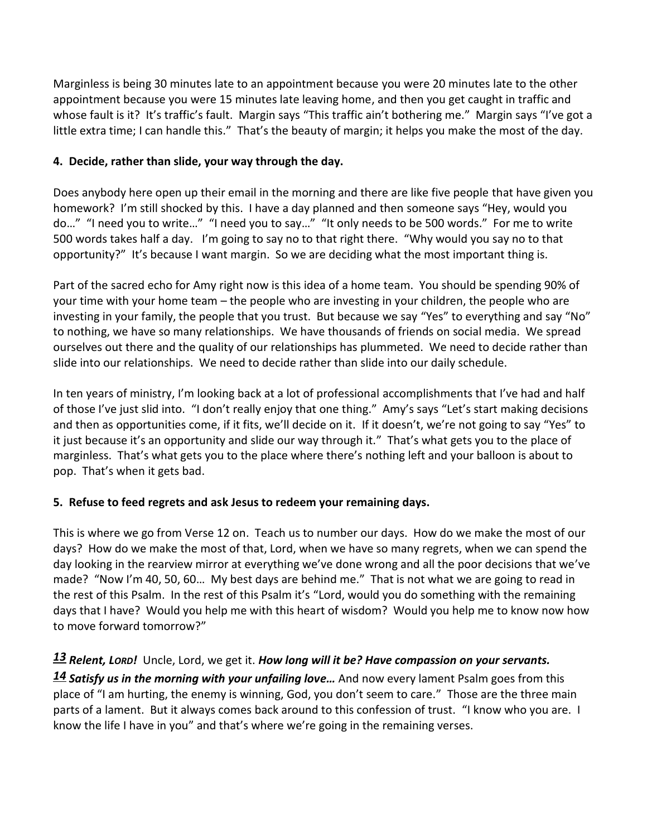Marginless is being 30 minutes late to an appointment because you were 20 minutes late to the other appointment because you were 15 minutes late leaving home, and then you get caught in traffic and whose fault is it? It's traffic's fault. Margin says "This traffic ain't bothering me." Margin says "I've got a little extra time; I can handle this." That's the beauty of margin; it helps you make the most of the day.

### **4. Decide, rather than slide, your way through the day.**

Does anybody here open up their email in the morning and there are like five people that have given you homework? I'm still shocked by this. I have a day planned and then someone says "Hey, would you do…" "I need you to write…" "I need you to say…" "It only needs to be 500 words." For me to write 500 words takes half a day. I'm going to say no to that right there. "Why would you say no to that opportunity?" It's because I want margin. So we are deciding what the most important thing is.

Part of the sacred echo for Amy right now is this idea of a home team. You should be spending 90% of your time with your home team – the people who are investing in your children, the people who are investing in your family, the people that you trust. But because we say "Yes" to everything and say "No" to nothing, we have so many relationships. We have thousands of friends on social media. We spread ourselves out there and the quality of our relationships has plummeted. We need to decide rather than slide into our relationships. We need to decide rather than slide into our daily schedule.

In ten years of ministry, I'm looking back at a lot of professional accomplishments that I've had and half of those I've just slid into. "I don't really enjoy that one thing." Amy's says "Let's start making decisions and then as opportunities come, if it fits, we'll decide on it. If it doesn't, we're not going to say "Yes" to it just because it's an opportunity and slide our way through it." That's what gets you to the place of marginless. That's what gets you to the place where there's nothing left and your balloon is about to pop. That's when it gets bad.

# **5. Refuse to feed regrets and ask Jesus to redeem your remaining days.**

This is where we go from Verse 12 on. Teach us to number our days. How do we make the most of our days? How do we make the most of that, Lord, when we have so many regrets, when we can spend the day looking in the rearview mirror at everything we've done wrong and all the poor decisions that we've made? "Now I'm 40, 50, 60… My best days are behind me." That is not what we are going to read in the rest of this Psalm. In the rest of this Psalm it's "Lord, would you do something with the remaining days that I have? Would you help me with this heart of wisdom? Would you help me to know now how to move forward tomorrow?"

# *[13](http://www.studylight.org/desk/?q=ps%2090:13&t1=en_niv&sr=1) Relent, LORD!* Uncle, Lord, we get it. *How long will it be? Have compassion on your servants.*

*[14](http://www.studylight.org/desk/?q=ps%2090:14&t1=en_niv&sr=1) Satisfy us in the morning with your unfailing love…* And now every lament Psalm goes from this place of "I am hurting, the enemy is winning, God, you don't seem to care." Those are the three main parts of a lament. But it always comes back around to this confession of trust. "I know who you are. I know the life I have in you" and that's where we're going in the remaining verses.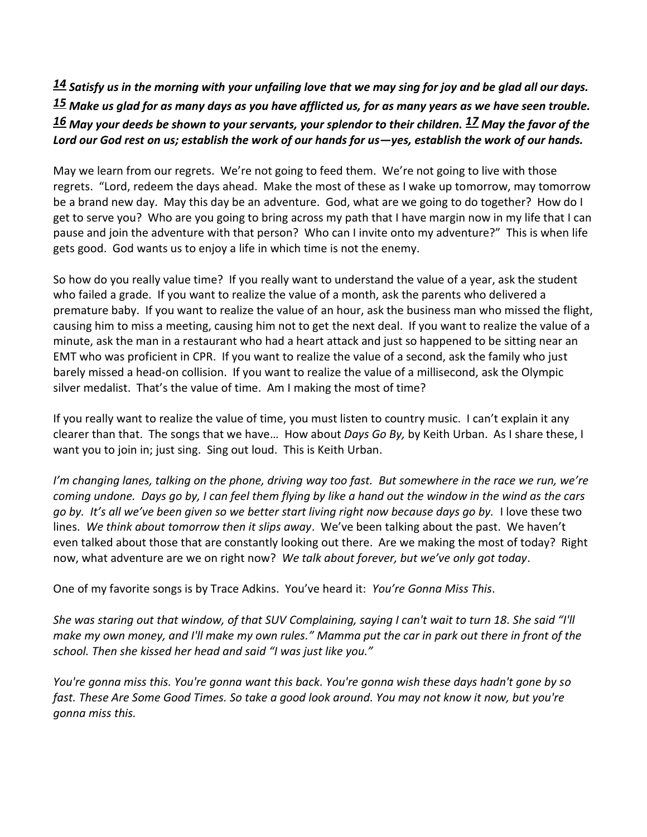*Satisfy us in the morning with your unfailing love that we may sing for joy and be glad all our days. Make us glad for as many days as you have afflicted us, for as many years as we have seen trouble. May your deeds be shown to your servants, your splendor to their children. [17](http://www.studylight.org/desk/?q=ps%2090:17&t1=en_niv&sr=1) May the favor of the Lord our God rest on us; establish the work of our hands for us—yes, establish the work of our hands.*

May we learn from our regrets. We're not going to feed them. We're not going to live with those regrets. "Lord, redeem the days ahead. Make the most of these as I wake up tomorrow, may tomorrow be a brand new day. May this day be an adventure. God, what are we going to do together? How do I get to serve you? Who are you going to bring across my path that I have margin now in my life that I can pause and join the adventure with that person? Who can I invite onto my adventure?" This is when life gets good. God wants us to enjoy a life in which time is not the enemy.

So how do you really value time? If you really want to understand the value of a year, ask the student who failed a grade. If you want to realize the value of a month, ask the parents who delivered a premature baby. If you want to realize the value of an hour, ask the business man who missed the flight, causing him to miss a meeting, causing him not to get the next deal. If you want to realize the value of a minute, ask the man in a restaurant who had a heart attack and just so happened to be sitting near an EMT who was proficient in CPR. If you want to realize the value of a second, ask the family who just barely missed a head-on collision. If you want to realize the value of a millisecond, ask the Olympic silver medalist. That's the value of time. Am I making the most of time?

If you really want to realize the value of time, you must listen to country music. I can't explain it any clearer than that. The songs that we have… How about *Days Go By,* by Keith Urban. As I share these, I want you to join in; just sing. Sing out loud. This is Keith Urban.

*I'm changing lanes, talking on the phone, driving way too fast. But somewhere in the race we run, we're coming undone. Days go by, I can feel them flying by like a hand out the window in the wind as the cars go by. It's all we've been given so we better start living right now because days go by.* I love these two lines. *We think about tomorrow then it slips away*. We've been talking about the past. We haven't even talked about those that are constantly looking out there. Are we making the most of today? Right now, what adventure are we on right now? *We talk about forever, but we've only got today*.

One of my favorite songs is by Trace Adkins. You've heard it: *You're Gonna Miss This*.

*She was staring out that window, of that SUV Complaining, saying I can't wait to turn 18. She said "I'll make my own money, and I'll make my own rules." Mamma put the car in park out there in front of the school. Then she kissed her head and said "I was just like you."*

*You're gonna miss this. You're gonna want this back. You're gonna wish these days hadn't gone by so fast. These Are Some Good Times. So take a good look around. You may not know it now, but you're gonna miss this.*